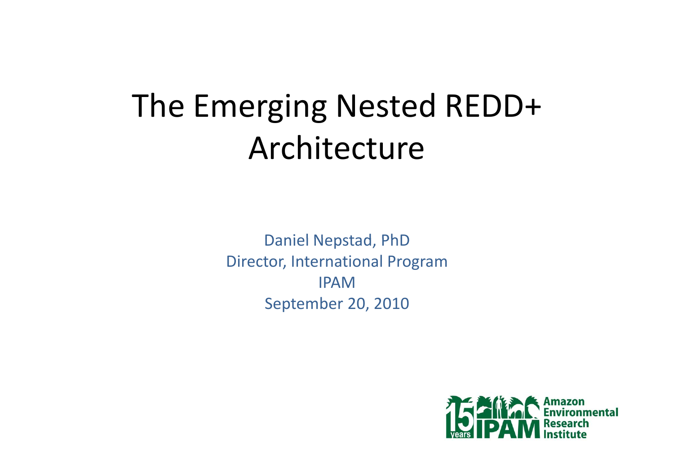# The Emerging Nested REDD+ Architecture

Daniel Nepstad, PhD Director, International Program IPAMSeptember 20, 2010

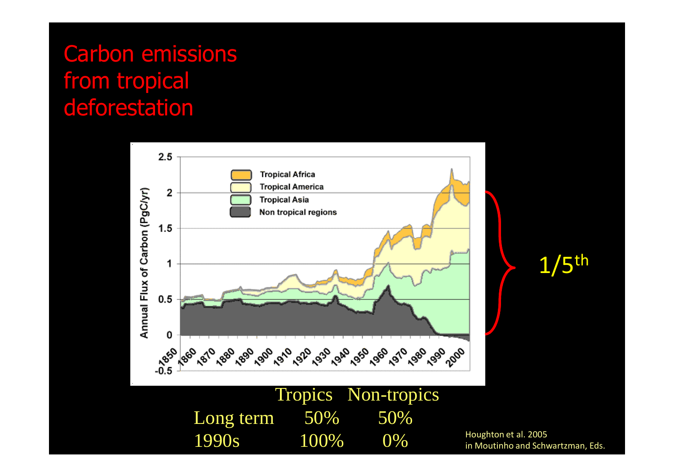### Carbon emissions from tropical deforestation



1/5th

Houghton et al. 2005<br>in Moutinho and Schwartzman, Eds.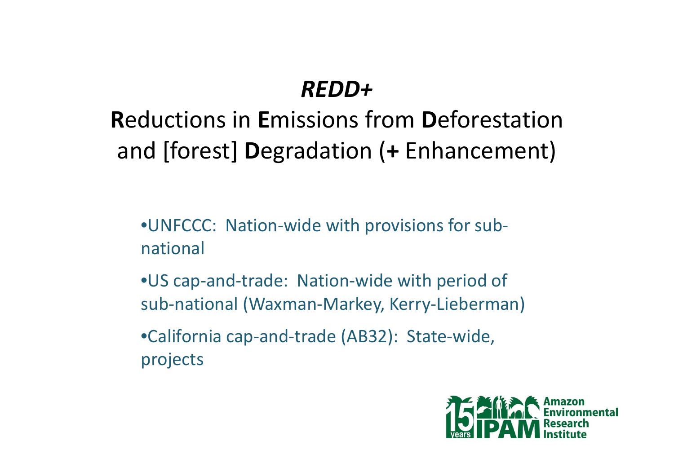### *REDD+*

# **R**eductions in **E**missions from **D**eforestation and [forest] **D**egradation (**<sup>+</sup>** Enhancement)

•UNFCCC: Nation-wide with provisions for subnational

•US cap-and-trade: Nation-wide with period of sub-national (Waxman-Markey, Kerry-Lieberman)

•California cap-and-trade (AB32): State-wide, projects

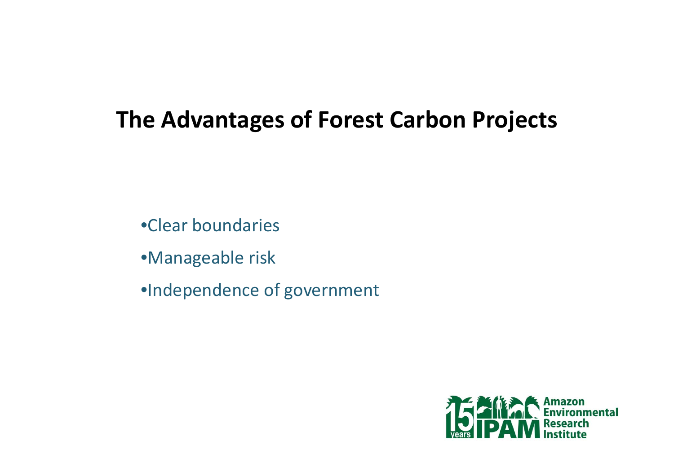### **The Advantages of Forest Carbon Projects**

•Clear boundaries

•Manageable risk

•Independence of government

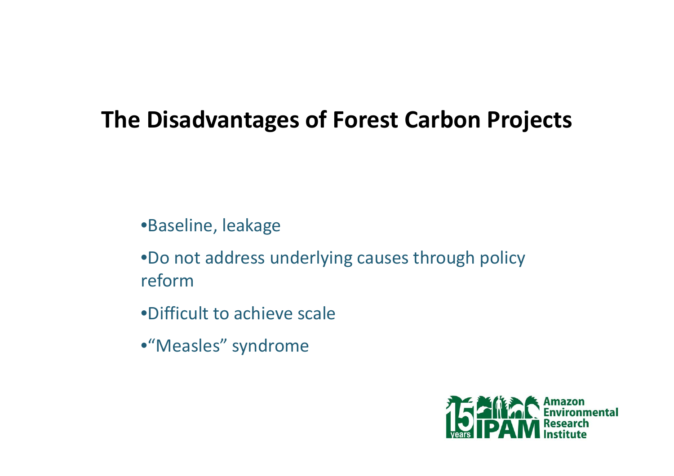### **The Disadvantages of Forest Carbon Projects**

•Baseline, leakage

•Do not address underlying causes through policy reform

•Difficult to achieve scale

•"Measles" syndrome

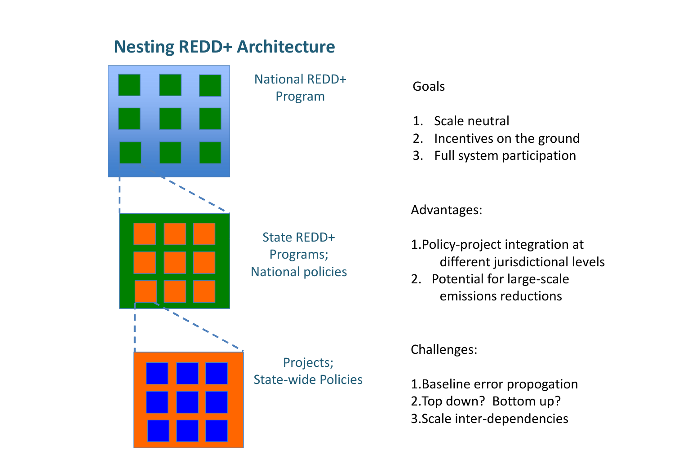#### **Nesting REDD+ Architecture**



National REDD+Program

State REDD+Programs; National policies Goals

- 1. Scale neutral
- 2. Incentives on the ground
- 3. Full system participation

Advantages:

- 1.Policy-project integration at different jurisdictional levels
- 2. Potential for large-scale emissions reductions

Projects; State-wide Policies Challenges:

1.Baseline error propogation 2.Top down? Bottom up? 3.Scale inter-dependencies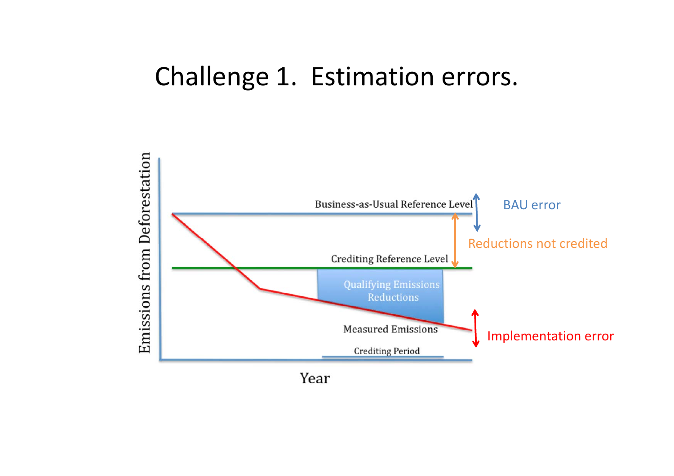### Challenge 1. Estimation errors.



Year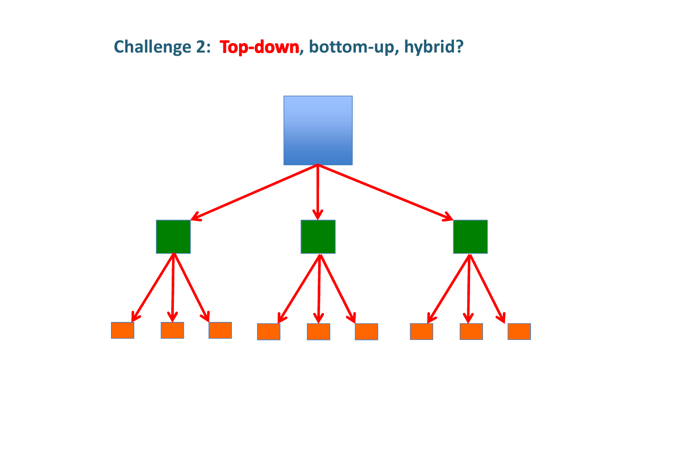#### **Challenge 2: Top-down, bottom-up, hybrid?**

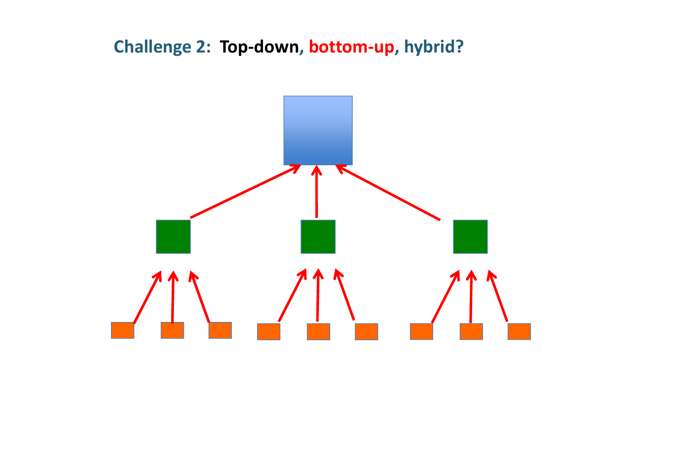**Challenge 2: Top-down, bottom-up, hybrid?** 

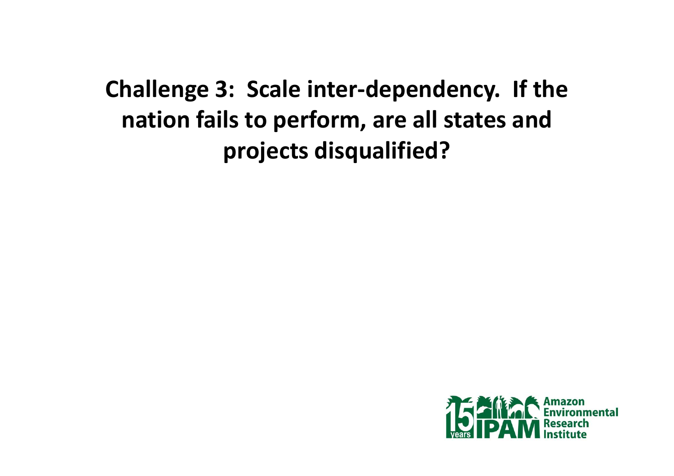# **Challenge 3: Scale inter-dependency. If the nation fails to perform, are all states and projects disqualified?**

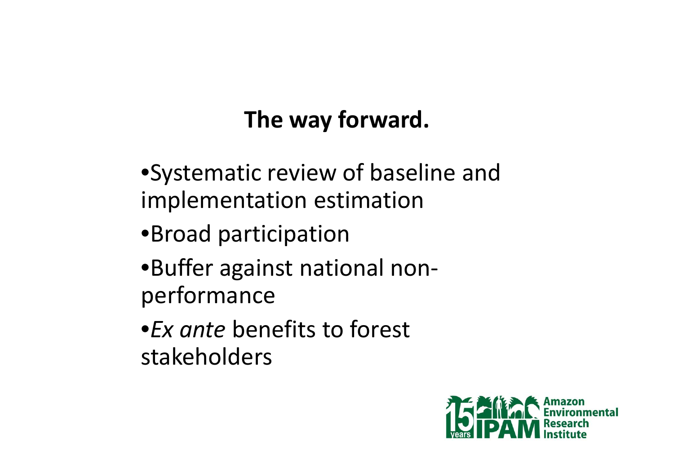# **The way forward.**

•Systematic review of baseline and implementation estimation

- •Broad participation
- •Buffer against national nonperformance
- •*Ex ante* benefits to forest stakeholders

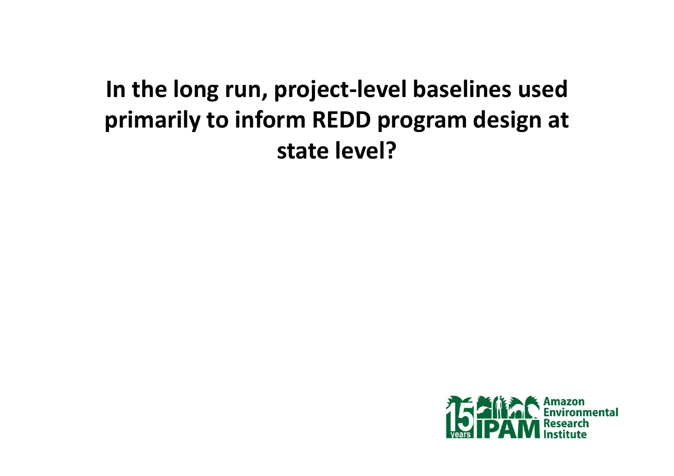# **In the long run, project-level baselines used primarily to inform REDD program design at state level?**

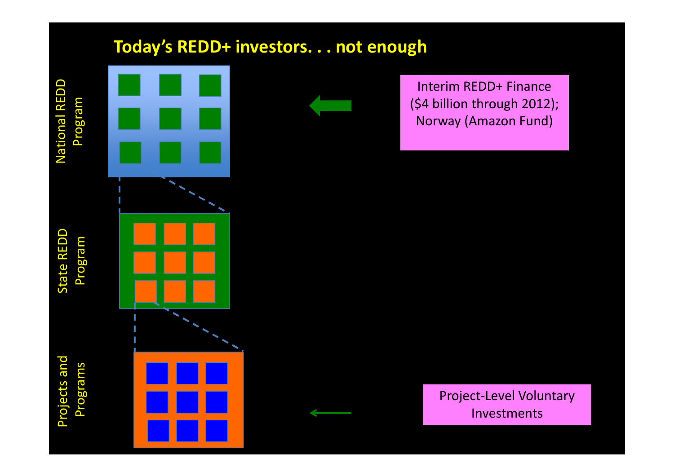

Projects and

**Projects and** 

#### **Today's REDD+ investors. . . not enough**



Interim REDD+ Finance (\$4 billion through 2012); Norway (Amazon Fund)

Project-Level Voluntary<br>
Project-Level Voluntary<br>
A Project-Level Voluntary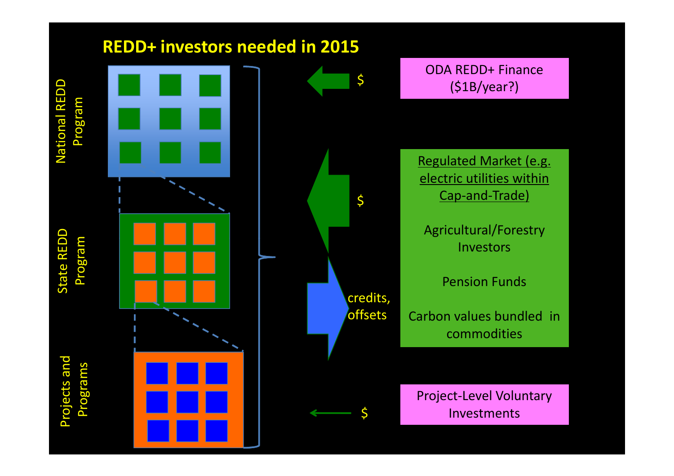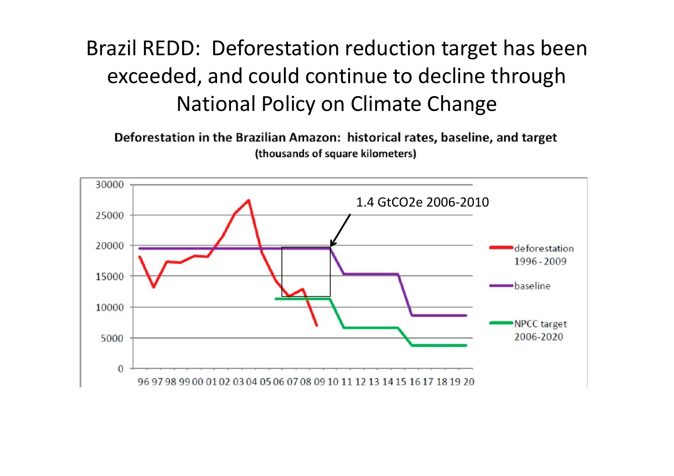### Brazil REDD: Deforestation reduction target has been exceeded, and could continue to decline through National Policy on Climate Change

Deforestation in the Brazilian Amazon: historical rates, baseline, and target (thousands of square kilometers)

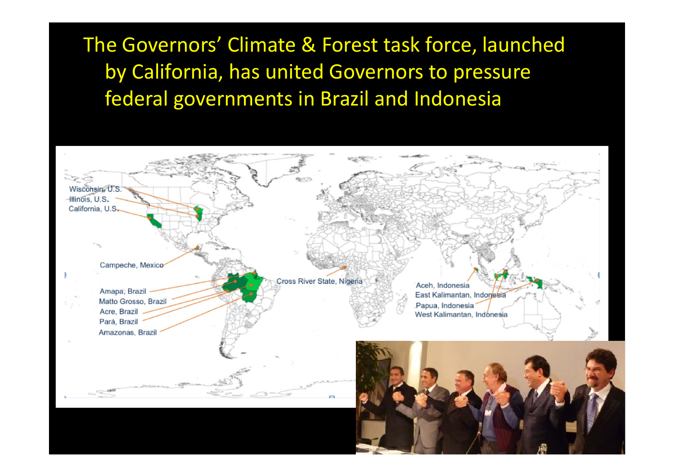The Governors' Climate & Forest task force, launched by California, has united Governors to pressure federal governments in Brazil and Indonesia

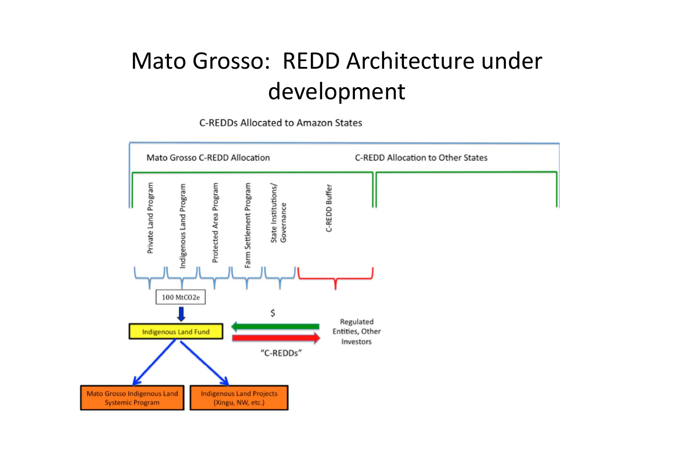# Mato Grosso: REDD Architecture under development

C-REDDs Allocated to Amazon States